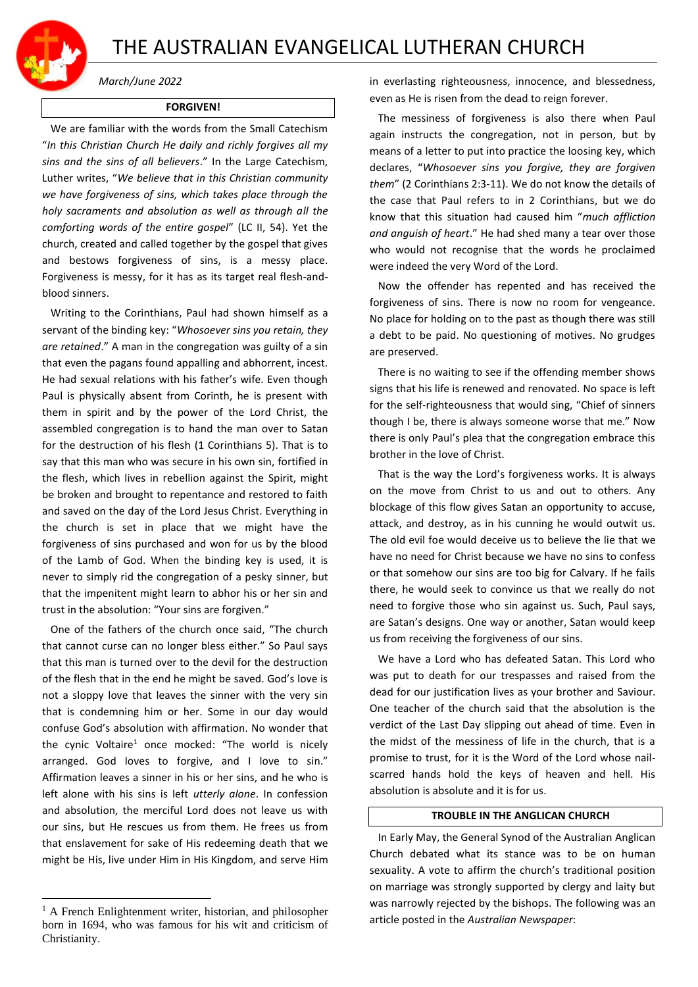

# THE AUSTRALIAN EVANGELICAL LUTHERAN CHURCH

*March/June 2022*

# **FORGIVEN!**

We are familiar with the words from the Small Catechism "*In this Christian Church He daily and richly forgives all my sins and the sins of all believers*." In the Large Catechism, Luther writes, "*We believe that in this Christian community we have forgiveness of sins, which takes place through the holy sacraments and absolution as well as through all the comforting words of the entire gospel*" (LC II, 54). Yet the church, created and called together by the gospel that gives and bestows forgiveness of sins, is a messy place. Forgiveness is messy, for it has as its target real flesh-andblood sinners.

Writing to the Corinthians, Paul had shown himself as a servant of the binding key: "*Whosoever sins you retain, they are retained*." A man in the congregation was guilty of a sin that even the pagans found appalling and abhorrent, incest. He had sexual relations with his father's wife. Even though Paul is physically absent from Corinth, he is present with them in spirit and by the power of the Lord Christ, the assembled congregation is to hand the man over to Satan for the destruction of his flesh (1 Corinthians 5). That is to say that this man who was secure in his own sin, fortified in the flesh, which lives in rebellion against the Spirit, might be broken and brought to repentance and restored to faith and saved on the day of the Lord Jesus Christ. Everything in the church is set in place that we might have the forgiveness of sins purchased and won for us by the blood of the Lamb of God. When the binding key is used, it is never to simply rid the congregation of a pesky sinner, but that the impenitent might learn to abhor his or her sin and trust in the absolution: "Your sins are forgiven."

One of the fathers of the church once said, "The church that cannot curse can no longer bless either." So Paul says that this man is turned over to the devil for the destruction of the flesh that in the end he might be saved. God's love is not a sloppy love that leaves the sinner with the very sin that is condemning him or her. Some in our day would confuse God's absolution with affirmation. No wonder that the cynic Voltaire<sup>1</sup> once mocked: "The world is nicely arranged. God loves to forgive, and I love to sin." Affirmation leaves a sinner in his or her sins, and he who is left alone with his sins is left *utterly alone*. In confession and absolution, the merciful Lord does not leave us with our sins, but He rescues us from them. He frees us from that enslavement for sake of His redeeming death that we might be His, live under Him in His Kingdom, and serve Him in everlasting righteousness, innocence, and blessedness, even as He is risen from the dead to reign forever.

The messiness of forgiveness is also there when Paul again instructs the congregation, not in person, but by means of a letter to put into practice the loosing key, which declares, "*Whosoever sins you forgive, they are forgiven them*" (2 Corinthians 2:3-11). We do not know the details of the case that Paul refers to in 2 Corinthians, but we do know that this situation had caused him "*much affliction and anguish of heart*." He had shed many a tear over those who would not recognise that the words he proclaimed were indeed the very Word of the Lord.

Now the offender has repented and has received the forgiveness of sins. There is now no room for vengeance. No place for holding on to the past as though there was still a debt to be paid. No questioning of motives. No grudges are preserved.

There is no waiting to see if the offending member shows signs that his life is renewed and renovated. No space is left for the self-righteousness that would sing, "Chief of sinners though I be, there is always someone worse that me." Now there is only Paul's plea that the congregation embrace this brother in the love of Christ.

That is the way the Lord's forgiveness works. It is always on the move from Christ to us and out to others. Any blockage of this flow gives Satan an opportunity to accuse, attack, and destroy, as in his cunning he would outwit us. The old evil foe would deceive us to believe the lie that we have no need for Christ because we have no sins to confess or that somehow our sins are too big for Calvary. If he fails there, he would seek to convince us that we really do not need to forgive those who sin against us. Such, Paul says, are Satan's designs. One way or another, Satan would keep us from receiving the forgiveness of our sins.

We have a Lord who has defeated Satan. This Lord who was put to death for our trespasses and raised from the dead for our justification lives as your brother and Saviour. One teacher of the church said that the absolution is the verdict of the Last Day slipping out ahead of time. Even in the midst of the messiness of life in the church, that is a promise to trust, for it is the Word of the Lord whose nailscarred hands hold the keys of heaven and hell. His absolution is absolute and it is for us.

### **TROUBLE IN THE ANGLICAN CHURCH**

In Early May, the General Synod of the Australian Anglican Church debated what its stance was to be on human sexuality. A vote to affirm the church's traditional position on marriage was strongly supported by clergy and laity but was narrowly rejected by the bishops. The following was an article posted in the *Australian Newspaper*:

 $<sup>1</sup>$  A French Enlightenment writer, historian, and philosopher</sup> born in 1694, who was famous for his wit and criticism of Christianity.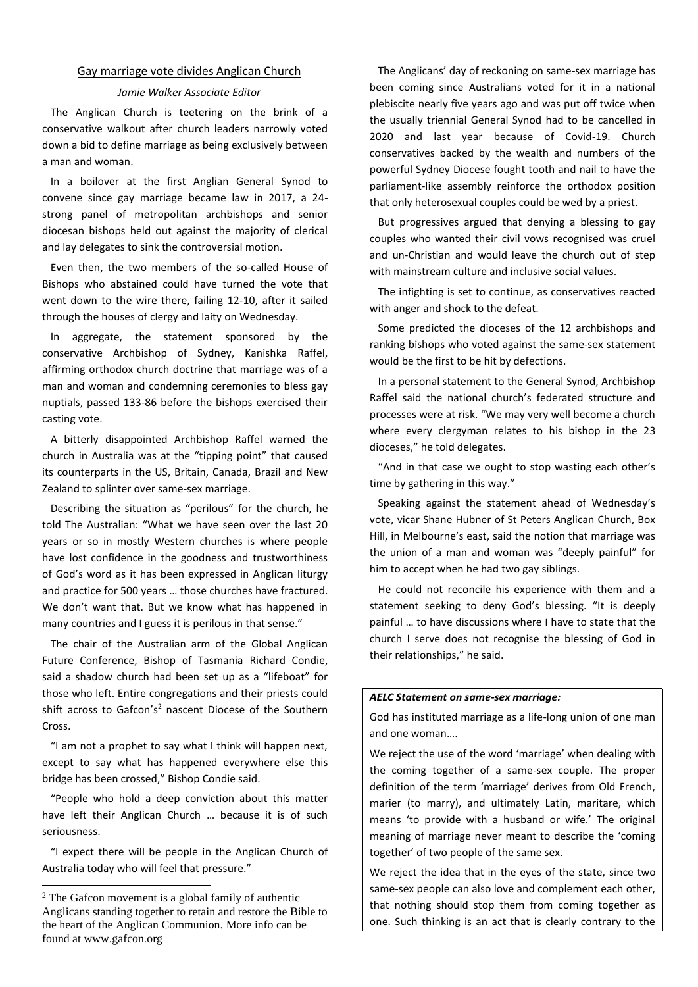#### Gay marriage vote divides Anglican Church

#### *Jamie Walker Associate Editor*

The Anglican Church is teetering on the brink of a conservative walkout after church leaders narrowly voted down a bid to define marriage as being exclusively between a man and woman.

In a boilover at the first Anglian General Synod to convene since gay marriage became law in 2017, a 24 strong panel of metropolitan archbishops and senior diocesan bishops held out against the majority of clerical and lay delegates to sink the controversial motion.

Even then, the two members of the so-called House of Bishops who abstained could have turned the vote that went down to the wire there, failing 12-10, after it sailed through the houses of clergy and laity on Wednesday.

In aggregate, the statement sponsored by the conservative Archbishop of Sydney, Kanishka Raffel, affirming orthodox church doctrine that marriage was of a man and woman and condemning ceremonies to bless gay nuptials, passed 133-86 before the bishops exercised their casting vote.

A bitterly disappointed Archbishop Raffel warned the church in Australia was at the "tipping point" that caused its counterparts in the US, Britain, Canada, Brazil and New Zealand to splinter over same-sex marriage.

Describing the situation as "perilous" for the church, he told The Australian: "What we have seen over the last 20 years or so in mostly Western churches is where people have lost confidence in the goodness and trustworthiness of God's word as it has been expressed in Anglican liturgy and practice for 500 years … those churches have fractured. We don't want that. But we know what has happened in many countries and I guess it is perilous in that sense."

The chair of the Australian arm of the Global Anglican Future Conference, Bishop of Tasmania Richard Condie, said a shadow church had been set up as a "lifeboat" for those who left. Entire congregations and their priests could shift across to Gafcon's<sup>2</sup> nascent Diocese of the Southern Cross.

"I am not a prophet to say what I think will happen next, except to say what has happened everywhere else this bridge has been crossed," Bishop Condie said.

"People who hold a deep conviction about this matter have left their Anglican Church … because it is of such seriousness.

"I expect there will be people in the Anglican Church of Australia today who will feel that pressure."

The Anglicans' day of reckoning on same-sex marriage has been coming since Australians voted for it in a national plebiscite nearly five years ago and was put off twice when the usually triennial General Synod had to be cancelled in 2020 and last year because of Covid-19. Church conservatives backed by the wealth and numbers of the powerful Sydney Diocese fought tooth and nail to have the parliament-like assembly reinforce the orthodox position that only heterosexual couples could be wed by a priest.

But progressives argued that denying a blessing to gay couples who wanted their civil vows recognised was cruel and un-Christian and would leave the church out of step with mainstream culture and inclusive social values.

The infighting is set to continue, as conservatives reacted with anger and shock to the defeat.

Some predicted the dioceses of the 12 archbishops and ranking bishops who voted against the same-sex statement would be the first to be hit by defections.

In a personal statement to the General Synod, Archbishop Raffel said the national church's federated structure and processes were at risk. "We may very well become a church where every clergyman relates to his bishop in the 23 dioceses," he told delegates.

"And in that case we ought to stop wasting each other's time by gathering in this way."

Speaking against the statement ahead of Wednesday's vote, vicar Shane Hubner of St Peters Anglican Church, Box Hill, in Melbourne's east, said the notion that marriage was the union of a man and woman was "deeply painful" for him to accept when he had two gay siblings.

He could not reconcile his experience with them and a statement seeking to deny God's blessing. "It is deeply painful … to have discussions where I have to state that the church I serve does not recognise the blessing of God in their relationships," he said.

# *AELC Statement on same-sex marriage:*

God has instituted marriage as a life-long union of one man and one woman….

We reject the use of the word 'marriage' when dealing with the coming together of a same-sex couple. The proper definition of the term 'marriage' derives from Old French, marier (to marry), and ultimately Latin, maritare, which means 'to provide with a husband or wife.' The original meaning of marriage never meant to describe the 'coming together' of two people of the same sex.

We reject the idea that in the eyes of the state, since two same-sex people can also love and complement each other, that nothing should stop them from coming together as one. Such thinking is an act that is clearly contrary to the

<sup>2</sup> The Gafcon movement is a global family of authentic Anglicans standing together to retain and restore the Bible to the heart of the Anglican Communion. More info can be found at www.gafcon.org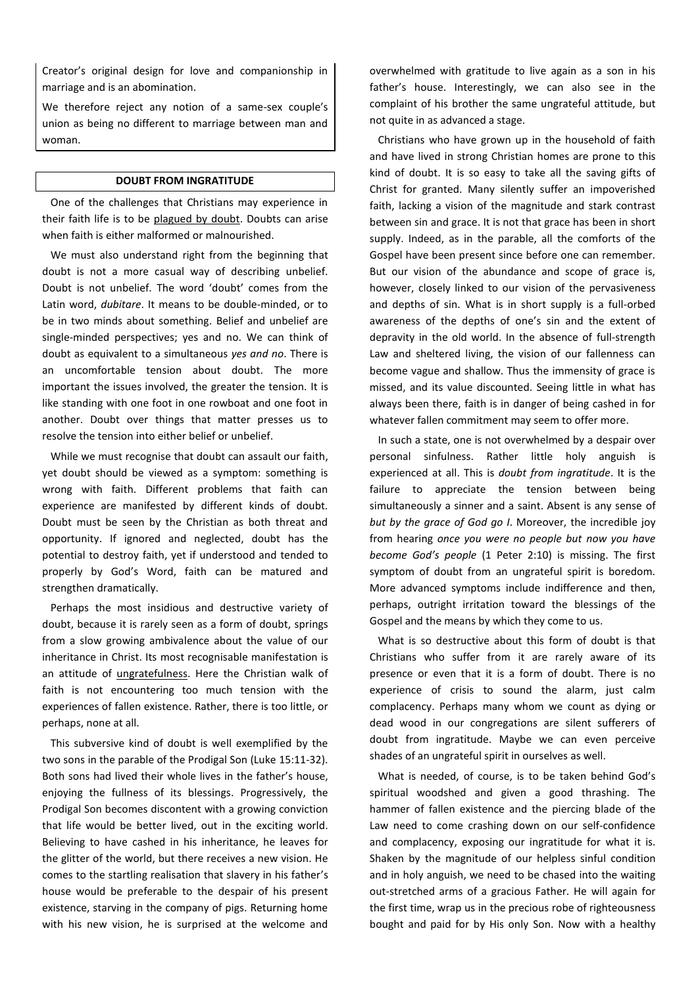Creator's original design for love and companionship in marriage and is an abomination.

We therefore reject any notion of a same-sex couple's union as being no different to marriage between man and woman.

#### **DOUBT FROM INGRATITUDE**

One of the challenges that Christians may experience in their faith life is to be plagued by doubt. Doubts can arise when faith is either malformed or malnourished.

We must also understand right from the beginning that doubt is not a more casual way of describing unbelief. Doubt is not unbelief. The word 'doubt' comes from the Latin word, *dubitare*. It means to be double-minded, or to be in two minds about something. Belief and unbelief are single-minded perspectives; yes and no. We can think of doubt as equivalent to a simultaneous *yes and no*. There is an uncomfortable tension about doubt. The more important the issues involved, the greater the tension. It is like standing with one foot in one rowboat and one foot in another. Doubt over things that matter presses us to resolve the tension into either belief or unbelief.

While we must recognise that doubt can assault our faith, yet doubt should be viewed as a symptom: something is wrong with faith. Different problems that faith can experience are manifested by different kinds of doubt. Doubt must be seen by the Christian as both threat and opportunity. If ignored and neglected, doubt has the potential to destroy faith, yet if understood and tended to properly by God's Word, faith can be matured and strengthen dramatically.

Perhaps the most insidious and destructive variety of doubt, because it is rarely seen as a form of doubt, springs from a slow growing ambivalence about the value of our inheritance in Christ. Its most recognisable manifestation is an attitude of ungratefulness. Here the Christian walk of faith is not encountering too much tension with the experiences of fallen existence. Rather, there is too little, or perhaps, none at all.

This subversive kind of doubt is well exemplified by the two sons in the parable of the Prodigal Son (Luke 15:11-32). Both sons had lived their whole lives in the father's house, enjoying the fullness of its blessings. Progressively, the Prodigal Son becomes discontent with a growing conviction that life would be better lived, out in the exciting world. Believing to have cashed in his inheritance, he leaves for the glitter of the world, but there receives a new vision. He comes to the startling realisation that slavery in his father's house would be preferable to the despair of his present existence, starving in the company of pigs. Returning home with his new vision, he is surprised at the welcome and

overwhelmed with gratitude to live again as a son in his father's house. Interestingly, we can also see in the complaint of his brother the same ungrateful attitude, but not quite in as advanced a stage.

Christians who have grown up in the household of faith and have lived in strong Christian homes are prone to this kind of doubt. It is so easy to take all the saving gifts of Christ for granted. Many silently suffer an impoverished faith, lacking a vision of the magnitude and stark contrast between sin and grace. It is not that grace has been in short supply. Indeed, as in the parable, all the comforts of the Gospel have been present since before one can remember. But our vision of the abundance and scope of grace is, however, closely linked to our vision of the pervasiveness and depths of sin. What is in short supply is a full-orbed awareness of the depths of one's sin and the extent of depravity in the old world. In the absence of full-strength Law and sheltered living, the vision of our fallenness can become vague and shallow. Thus the immensity of grace is missed, and its value discounted. Seeing little in what has always been there, faith is in danger of being cashed in for whatever fallen commitment may seem to offer more.

In such a state, one is not overwhelmed by a despair over personal sinfulness. Rather little holy anguish is experienced at all. This is *doubt from ingratitude*. It is the failure to appreciate the tension between being simultaneously a sinner and a saint. Absent is any sense of *but by the grace of God go I*. Moreover, the incredible joy from hearing *once you were no people but now you have become God's people* (1 Peter 2:10) is missing. The first symptom of doubt from an ungrateful spirit is boredom. More advanced symptoms include indifference and then, perhaps, outright irritation toward the blessings of the Gospel and the means by which they come to us.

What is so destructive about this form of doubt is that Christians who suffer from it are rarely aware of its presence or even that it is a form of doubt. There is no experience of crisis to sound the alarm, just calm complacency. Perhaps many whom we count as dying or dead wood in our congregations are silent sufferers of doubt from ingratitude. Maybe we can even perceive shades of an ungrateful spirit in ourselves as well.

What is needed, of course, is to be taken behind God's spiritual woodshed and given a good thrashing. The hammer of fallen existence and the piercing blade of the Law need to come crashing down on our self-confidence and complacency, exposing our ingratitude for what it is. Shaken by the magnitude of our helpless sinful condition and in holy anguish, we need to be chased into the waiting out-stretched arms of a gracious Father. He will again for the first time, wrap us in the precious robe of righteousness bought and paid for by His only Son. Now with a healthy